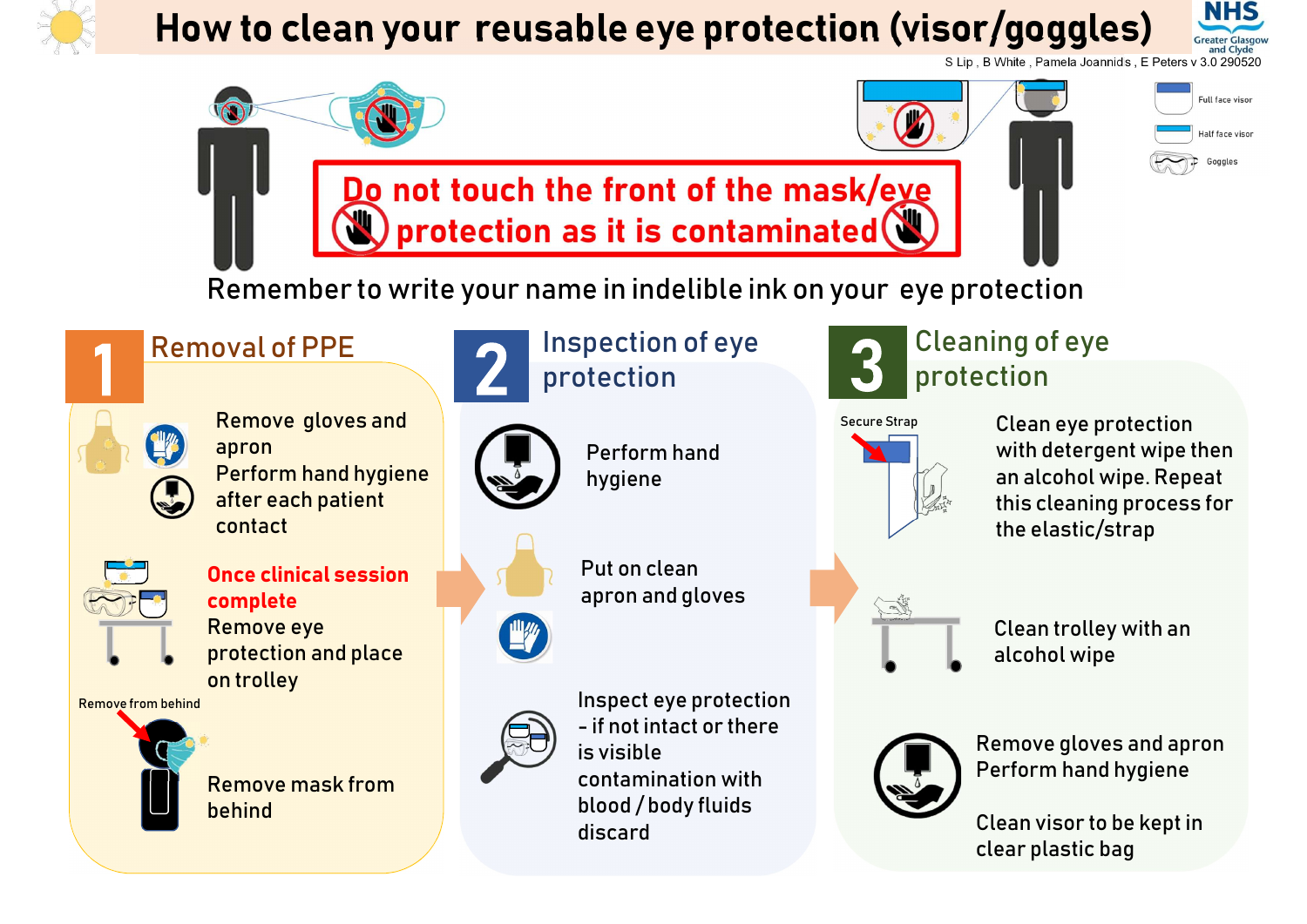

## How to clean your reusable eye protection (visor/goggles) NHS